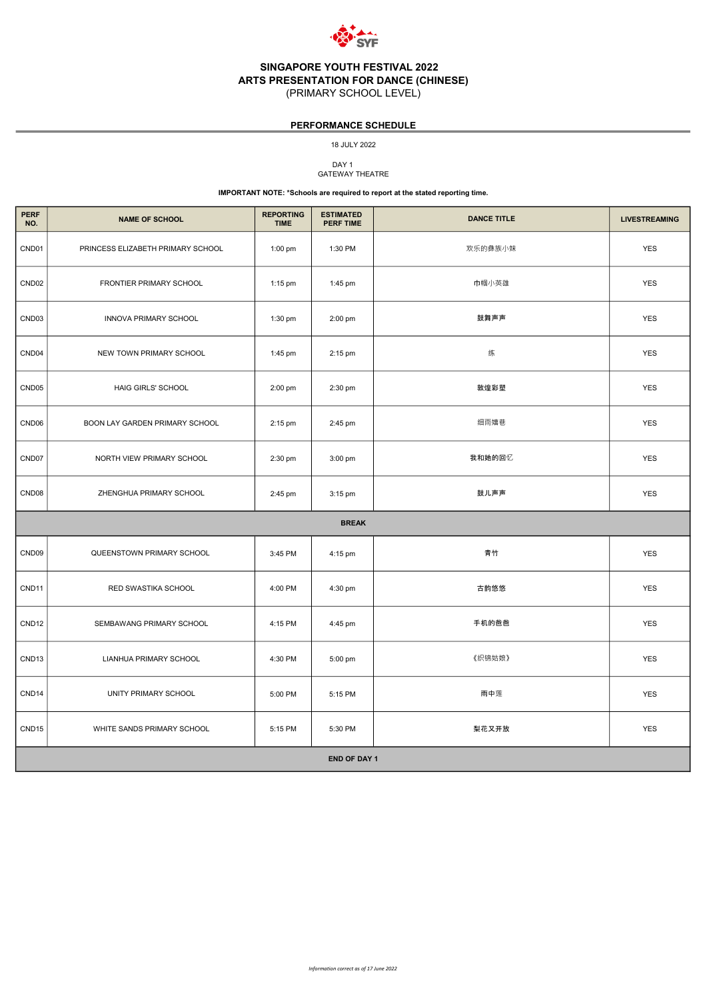

# SINGAPORE YOUTH FESTIVAL 2022 ARTS PRESENTATION FOR DANCE (CHINESE)

(PRIMARY SCHOOL LEVEL)

DAY<sub>1</sub> GATEWAY THEATRE

| <b>PERF</b><br>NO. | <b>NAME OF SCHOOL</b>             | <b>REPORTING</b><br><b>TIME</b> | <b>ESTIMATED</b><br>PERF TIME | <b>DANCE TITLE</b> | <b>LIVESTREAMING</b> |
|--------------------|-----------------------------------|---------------------------------|-------------------------------|--------------------|----------------------|
| CND01              | PRINCESS ELIZABETH PRIMARY SCHOOL | 1:00 pm                         | 1:30 PM                       | 欢乐的彝族小妹            | <b>YES</b>           |
| CND <sub>02</sub>  | FRONTIER PRIMARY SCHOOL           | 1:15 pm                         | 1:45 pm                       | 巾帼小英雄              | <b>YES</b>           |
| CND <sub>03</sub>  | <b>INNOVA PRIMARY SCHOOL</b>      | $1:30$ pm                       | 2:00 pm                       | 鼓舞声声               | <b>YES</b>           |
| CND <sub>04</sub>  | NEW TOWN PRIMARY SCHOOL           | 1:45 pm                         | 2:15 pm                       | 练                  | <b>YES</b>           |
| CND <sub>05</sub>  | HAIG GIRLS' SCHOOL                | 2:00 pm                         | 2:30 pm                       | 敦煌彩塑               | <b>YES</b>           |
| CND <sub>06</sub>  | BOON LAY GARDEN PRIMARY SCHOOL    | 2:15 pm                         | 2:45 pm                       | 细雨嬉巷               | <b>YES</b>           |
| CND07              | NORTH VIEW PRIMARY SCHOOL         | 2:30 pm                         | 3:00 pm                       | 我和她的回忆             | <b>YES</b>           |
| CND <sub>08</sub>  | ZHENGHUA PRIMARY SCHOOL           | 2:45 pm                         | $3:15$ pm                     | 鼓儿声声               | <b>YES</b>           |
|                    |                                   |                                 | <b>BREAK</b>                  |                    |                      |
| CND <sub>09</sub>  | QUEENSTOWN PRIMARY SCHOOL         | 3:45 PM                         | 4:15 pm                       | 青竹                 | <b>YES</b>           |
| CND11              | RED SWASTIKA SCHOOL               | 4:00 PM                         | 4:30 pm                       | 古韵悠悠               | <b>YES</b>           |
| CND <sub>12</sub>  | SEMBAWANG PRIMARY SCHOOL          | 4:15 PM                         | 4:45 pm                       | 手机的爸爸              | <b>YES</b>           |
| CND <sub>13</sub>  | LIANHUA PRIMARY SCHOOL            | 4:30 PM                         | 5:00 pm                       | 《织锦姑娘》             | <b>YES</b>           |
| CND <sub>14</sub>  | UNITY PRIMARY SCHOOL              | 5:00 PM                         | 5:15 PM                       | 雨中莲                | <b>YES</b>           |
| CND <sub>15</sub>  | WHITE SANDS PRIMARY SCHOOL        | 5:15 PM                         | 5:30 PM                       | 梨花又开放              | <b>YES</b>           |

#### END OF DAY 1

18 JULY 2022

### IMPORTANT NOTE: \*Schools are required to report at the stated reporting time.

### PERFORMANCE SCHEDULE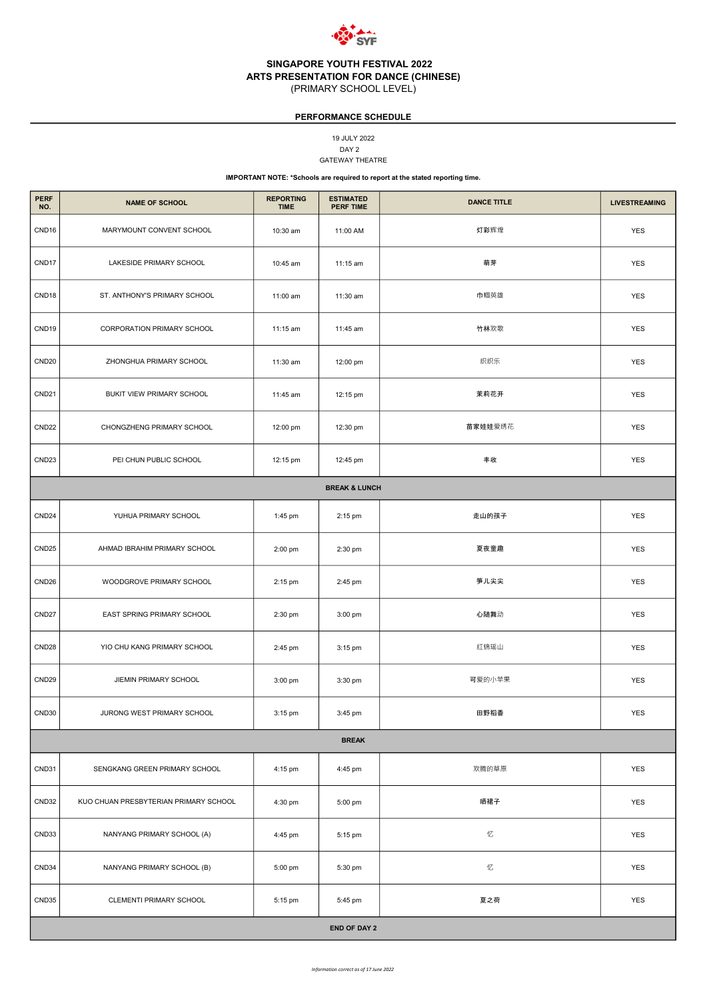

DAY 2 19 JULY 2022 GATEWAY THEATRE

| <b>PERF</b><br>NO. | <b>NAME OF SCHOOL</b>             | <b>REPORTING</b><br><b>TIME</b> | <b>ESTIMATED</b><br><b>PERF TIME</b> | <b>DANCE TITLE</b> | <b>LIVESTREAMING</b> |  |
|--------------------|-----------------------------------|---------------------------------|--------------------------------------|--------------------|----------------------|--|
| CND <sub>16</sub>  | MARYMOUNT CONVENT SCHOOL          | 10:30 am                        | 11:00 AM                             | 灯彩辉煌               | <b>YES</b>           |  |
| CND17              | LAKESIDE PRIMARY SCHOOL           | 10:45 am                        | 11:15 am                             | 萌芽                 | <b>YES</b>           |  |
| CND <sub>18</sub>  | ST. ANTHONY'S PRIMARY SCHOOL      | 11:00 am                        | 11:30 am                             | 巾帼英雄               | <b>YES</b>           |  |
| CND19              | <b>CORPORATION PRIMARY SCHOOL</b> | 11:15 am                        | 11:45 am                             | 竹林欢歌               | <b>YES</b>           |  |
| CND <sub>20</sub>  | ZHONGHUA PRIMARY SCHOOL           | 11:30 am                        | 12:00 pm                             | 织织乐                | <b>YES</b>           |  |
| CND <sub>21</sub>  | BUKIT VIEW PRIMARY SCHOOL         | 11:45 am                        | 12:15 pm                             | 茉莉花开               | <b>YES</b>           |  |
| CND <sub>22</sub>  | CHONGZHENG PRIMARY SCHOOL         | 12:00 pm                        | 12:30 pm                             | 苗家娃娃爱绣花            | <b>YES</b>           |  |
| CND <sub>23</sub>  | PEI CHUN PUBLIC SCHOOL            | 12:15 pm                        | 12:45 pm                             | 丰收                 | <b>YES</b>           |  |
|                    |                                   |                                 | <b>BREAK &amp; LUNCH</b>             |                    |                      |  |
| CND <sub>24</sub>  | YUHUA PRIMARY SCHOOL              | 1:45 pm                         | 2:15 pm                              | 走山的孩子              | <b>YES</b>           |  |
| CND <sub>25</sub>  | AHMAD IBRAHIM PRIMARY SCHOOL      | 2:00 pm                         | 2:30 pm                              | 夏夜童趣               | <b>YES</b>           |  |
| CND <sub>26</sub>  | WOODGROVE PRIMARY SCHOOL          | 2:15 pm                         | 2:45 pm                              | 笋儿尖尖               | <b>YES</b>           |  |
| CND <sub>27</sub>  | EAST SPRING PRIMARY SCHOOL        | 2:30 pm                         | 3:00 pm                              | 心随舞动               | <b>YES</b>           |  |
| CND <sub>28</sub>  | YIO CHU KANG PRIMARY SCHOOL       | 2:45 pm                         | 3:15 pm                              | 红锦瑶山               | <b>YES</b>           |  |
| CND <sub>29</sub>  | JIEMIN PRIMARY SCHOOL             | 3:00 pm                         | 3:30 pm                              | 可爱的小苹果             | <b>YES</b>           |  |
| CND30              | JURONG WEST PRIMARY SCHOOL        | 3:15 pm                         | 3:45 pm                              | 田野稻香               | <b>YES</b>           |  |
| <b>BREAK</b>       |                                   |                                 |                                      |                    |                      |  |

| <b>END OF DAY 2</b> |                                       |         |         |       |            |
|---------------------|---------------------------------------|---------|---------|-------|------------|
| CND35               | <b>CLEMENTI PRIMARY SCHOOL</b>        | 5:15 pm | 5:45 pm | 夏之荷   | YES        |
| CND34               | NANYANG PRIMARY SCHOOL (B)            | 5:00 pm | 5:30 pm | 忆     | YES        |
| CND33               | NANYANG PRIMARY SCHOOL (A)            | 4:45 pm | 5:15 pm | 忆     | <b>YES</b> |
| CND32               | KUO CHUAN PRESBYTERIAN PRIMARY SCHOOL | 4:30 pm | 5:00 pm | 晒裙子   | YES        |
| CND31               | SENGKANG GREEN PRIMARY SCHOOL         | 4:15 pm | 4:45 pm | 欢腾的草原 | YES        |

### PERFORMANCE SCHEDULE

IMPORTANT NOTE: \*Schools are required to report at the stated reporting time.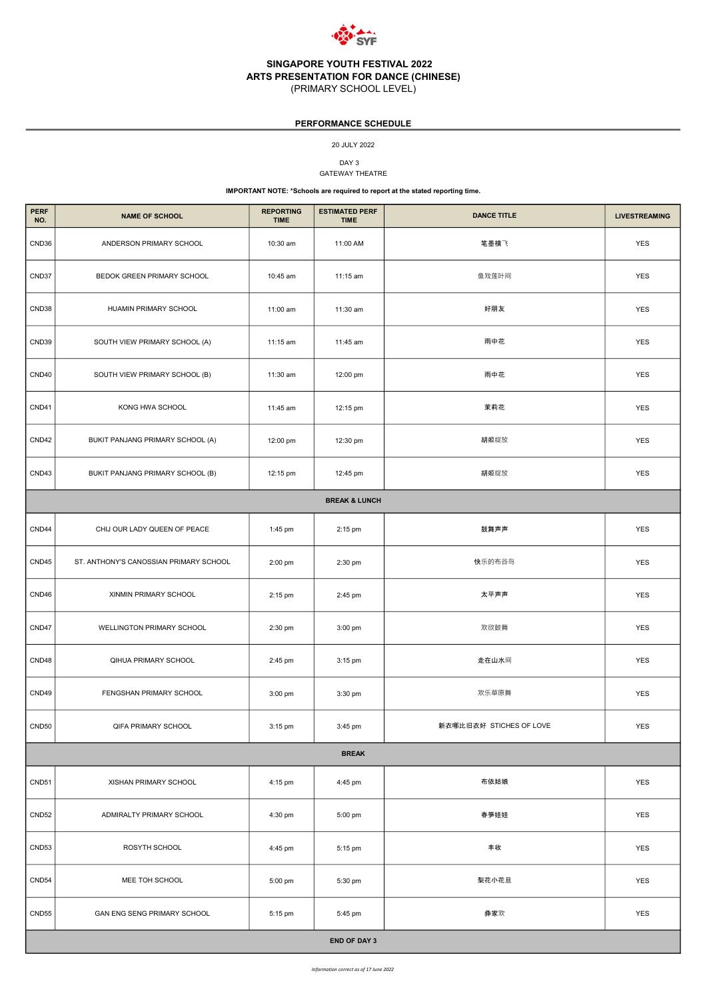

DAY<sub>3</sub> GATEWAY THEATRE

| <b>PERF</b><br>NO. | <b>NAME OF SCHOOL</b>                  | <b>REPORTING</b><br><b>TIME</b> | <b>ESTIMATED PERF</b><br><b>TIME</b> | <b>DANCE TITLE</b>      | <b>LIVESTREAMING</b> |  |  |  |
|--------------------|----------------------------------------|---------------------------------|--------------------------------------|-------------------------|----------------------|--|--|--|
| CND36              | ANDERSON PRIMARY SCHOOL                | 10:30 am                        | 11:00 AM                             | 笔墨横飞                    | <b>YES</b>           |  |  |  |
| CND37              | BEDOK GREEN PRIMARY SCHOOL             | 10:45 am                        | 11:15 am                             | 鱼戏莲叶间                   | <b>YES</b>           |  |  |  |
| CND38              | HUAMIN PRIMARY SCHOOL                  | 11:00 am                        | 11:30 am                             | 好朋友                     | <b>YES</b>           |  |  |  |
| CND39              | SOUTH VIEW PRIMARY SCHOOL (A)          | 11:15 am                        | 11:45 am                             | 雨中花                     | <b>YES</b>           |  |  |  |
| CND40              | SOUTH VIEW PRIMARY SCHOOL (B)          | 11:30 am                        | 12:00 pm                             | 雨中花                     | <b>YES</b>           |  |  |  |
| CND41              | KONG HWA SCHOOL                        | 11:45 am                        | 12:15 pm                             | 茉莉花                     | <b>YES</b>           |  |  |  |
| CND42              | BUKIT PANJANG PRIMARY SCHOOL (A)       | 12:00 pm                        | 12:30 pm                             | 胡姬绽放                    | <b>YES</b>           |  |  |  |
| CND43              | BUKIT PANJANG PRIMARY SCHOOL (B)       | 12:15 pm                        | 12:45 pm                             | 胡姬绽放                    | <b>YES</b>           |  |  |  |
|                    | <b>BREAK &amp; LUNCH</b>               |                                 |                                      |                         |                      |  |  |  |
| CND44              | CHIJ OUR LADY QUEEN OF PEACE           | 1:45 pm                         | 2:15 pm                              | 鼓舞声声                    | <b>YES</b>           |  |  |  |
| CND45              | ST. ANTHONY'S CANOSSIAN PRIMARY SCHOOL | 2:00 pm                         | 2:30 pm                              | 快乐的布谷鸟                  | <b>YES</b>           |  |  |  |
| CND46              | XINMIN PRIMARY SCHOOL                  | 2:15 pm                         | 2:45 pm                              | 太平声声                    | <b>YES</b>           |  |  |  |
| CND47              | WELLINGTON PRIMARY SCHOOL              | 2:30 pm                         | 3:00 pm                              | 欢欣鼓舞                    | <b>YES</b>           |  |  |  |
| CND48              | QIHUA PRIMARY SCHOOL                   | 2:45 pm                         | 3:15 pm                              | 走在山水间                   | <b>YES</b>           |  |  |  |
| CND49              | FENGSHAN PRIMARY SCHOOL                | 3:00 pm                         | 3:30 pm                              | 欢乐草原舞                   | <b>YES</b>           |  |  |  |
| CND50              | QIFA PRIMARY SCHOOL                    | $3:15$ pm                       | 3:45 pm                              | 新衣哪比旧衣好 STICHES OF LOVE | <b>YES</b>           |  |  |  |
|                    |                                        |                                 | <b>BREAK</b>                         |                         |                      |  |  |  |
| CND51              | XISHAN PRIMARY SCHOOL                  | 4:15 pm                         | 4:45 pm                              | 布依姑娘                    | <b>YES</b>           |  |  |  |
| CND <sub>52</sub>  | ADMIRALTY PRIMARY SCHOOL               | 4:30 pm                         | 5:00 pm                              | 春笋娃娃                    | <b>YES</b>           |  |  |  |
| CND53              | ROSYTH SCHOOL                          | 4:45 pm                         | 5:15 pm                              | 丰收                      | <b>YES</b>           |  |  |  |
| CND54              | MEE TOH SCHOOL                         | 5:00 pm                         | 5:30 pm                              | 梨花小花旦                   | <b>YES</b>           |  |  |  |
| CND <sub>55</sub>  | GAN ENG SENG PRIMARY SCHOOL            | 5:15 pm                         | 5:45 pm                              | 彝家欢                     | <b>YES</b>           |  |  |  |
|                    | <b>END OF DAY 3</b>                    |                                 |                                      |                         |                      |  |  |  |

# PERFORMANCE SCHEDULE

20 JULY 2022

#### IMPORTANT NOTE: \*Schools are required to report at the stated reporting time.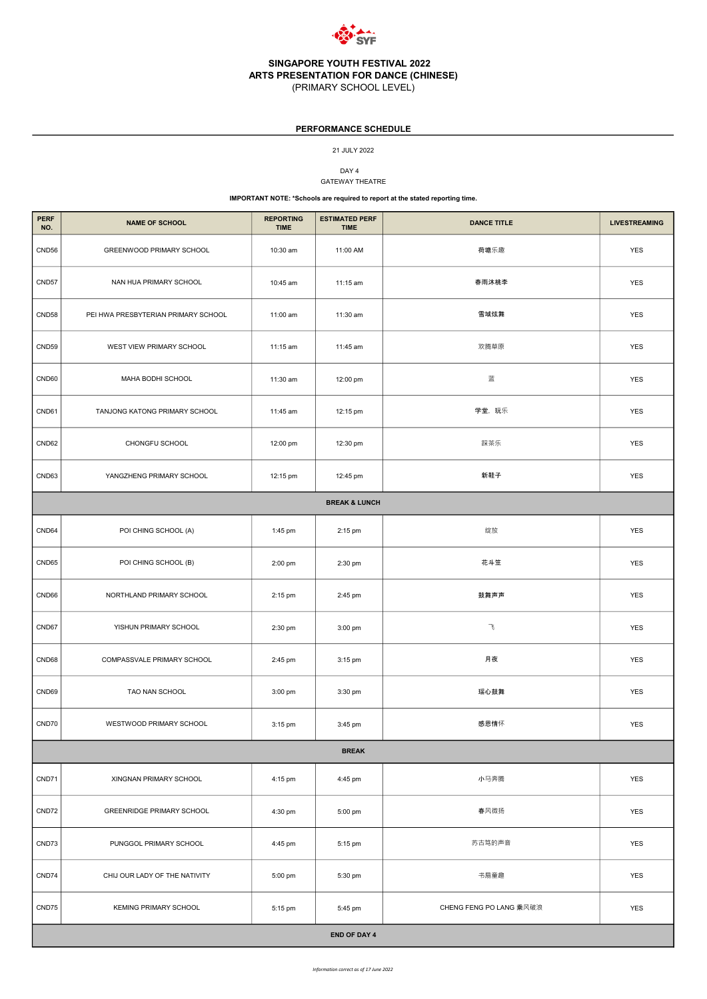

# SINGAPORE YOUTH FESTIVAL 2022 ARTS PRESENTATION FOR DANCE (CHINESE)

(PRIMARY SCHOOL LEVEL)

DAY 4

| <b>PERF</b><br>NO. | <b>NAME OF SCHOOL</b>               | <b>REPORTING</b><br><b>TIME</b> | <b>ESTIMATED PERF</b><br><b>TIME</b> | <b>DANCE TITLE</b> | <b>LIVESTREAMING</b> |  |  |
|--------------------|-------------------------------------|---------------------------------|--------------------------------------|--------------------|----------------------|--|--|
| CND56              | GREENWOOD PRIMARY SCHOOL            | 10:30 am                        | 11:00 AM                             | 荷塘乐趣               | <b>YES</b>           |  |  |
| CND57              | NAN HUA PRIMARY SCHOOL              | 10:45 am                        | 11:15 am                             | 春雨沐桃李              | <b>YES</b>           |  |  |
| CND58              | PEI HWA PRESBYTERIAN PRIMARY SCHOOL | 11:00 am                        | 11:30 am                             | 雪域炫舞               | <b>YES</b>           |  |  |
| CND59              | WEST VIEW PRIMARY SCHOOL            | 11:15 am                        | 11:45 am                             | 欢腾草原               | <b>YES</b>           |  |  |
| CND60              | MAHA BODHI SCHOOL                   | 11:30 am                        | 12:00 pm                             | 蓝                  | <b>YES</b>           |  |  |
| CND61              | TANJONG KATONG PRIMARY SCHOOL       | 11:45 am                        | 12:15 pm                             | 学堂, 玩乐             | <b>YES</b>           |  |  |
| CND62              | CHONGFU SCHOOL                      | 12:00 pm                        | 12:30 pm                             | 踩茶乐                | <b>YES</b>           |  |  |
| CND63              | YANGZHENG PRIMARY SCHOOL            | 12:15 pm                        | 12:45 pm                             | 新鞋子                | <b>YES</b>           |  |  |
|                    |                                     |                                 | <b>BREAK &amp; LUNCH</b>             |                    |                      |  |  |
| CND64              | POI CHING SCHOOL (A)                | 1:45 pm                         | 2:15 pm                              | 绽放                 | <b>YES</b>           |  |  |
| CND65              | POI CHING SCHOOL (B)                | 2:00 pm                         | 2:30 pm                              | 花斗笠                | <b>YES</b>           |  |  |
| CND66              | NORTHLAND PRIMARY SCHOOL            | 2:15 pm                         | 2:45 pm                              | 鼓舞声声               | YES                  |  |  |
| CND67              | YISHUN PRIMARY SCHOOL               | 2:30 pm                         | 3:00 pm                              | $\mathcal{A}$      | <b>YES</b>           |  |  |
| CND68              | COMPASSVALE PRIMARY SCHOOL          | 2:45 pm                         | $3:15$ pm                            | 月夜                 | <b>YES</b>           |  |  |
| CND69              | TAO NAN SCHOOL                      | 3:00 pm                         | 3:30 pm                              | 瑶心鼓舞               | <b>YES</b>           |  |  |
| CND70              | WESTWOOD PRIMARY SCHOOL             | 3:15 pm                         | 3:45 pm                              | 感恩情怀               | <b>YES</b>           |  |  |
|                    | <b>BREAK</b>                        |                                 |                                      |                    |                      |  |  |

|       | <b>BREAK</b>                     |         |                     |                         |            |  |  |  |
|-------|----------------------------------|---------|---------------------|-------------------------|------------|--|--|--|
| CND71 | XINGNAN PRIMARY SCHOOL           | 4:15 pm | 4:45 pm             | 小马奔腾                    | <b>YES</b> |  |  |  |
| CND72 | <b>GREENRIDGE PRIMARY SCHOOL</b> | 4:30 pm | 5:00 pm             | 春风微扬                    | <b>YES</b> |  |  |  |
| CND73 | PUNGGOL PRIMARY SCHOOL           | 4:45 pm | 5:15 pm             | 苏古笃的声音                  | <b>YES</b> |  |  |  |
| CND74 | CHIJ OUR LADY OF THE NATIVITY    | 5:00 pm | 5:30 pm             | 书扇童趣                    | <b>YES</b> |  |  |  |
| CND75 | <b>KEMING PRIMARY SCHOOL</b>     | 5:15 pm | 5:45 pm             | CHENG FENG PO LANG 乘风破浪 | <b>YES</b> |  |  |  |
|       |                                  |         | <b>END OF DAY 4</b> |                         |            |  |  |  |

# PERFORMANCE SCHEDULE

21 JULY 2022

GATEWAY THEATRE

### IMPORTANT NOTE: \*Schools are required to report at the stated reporting time.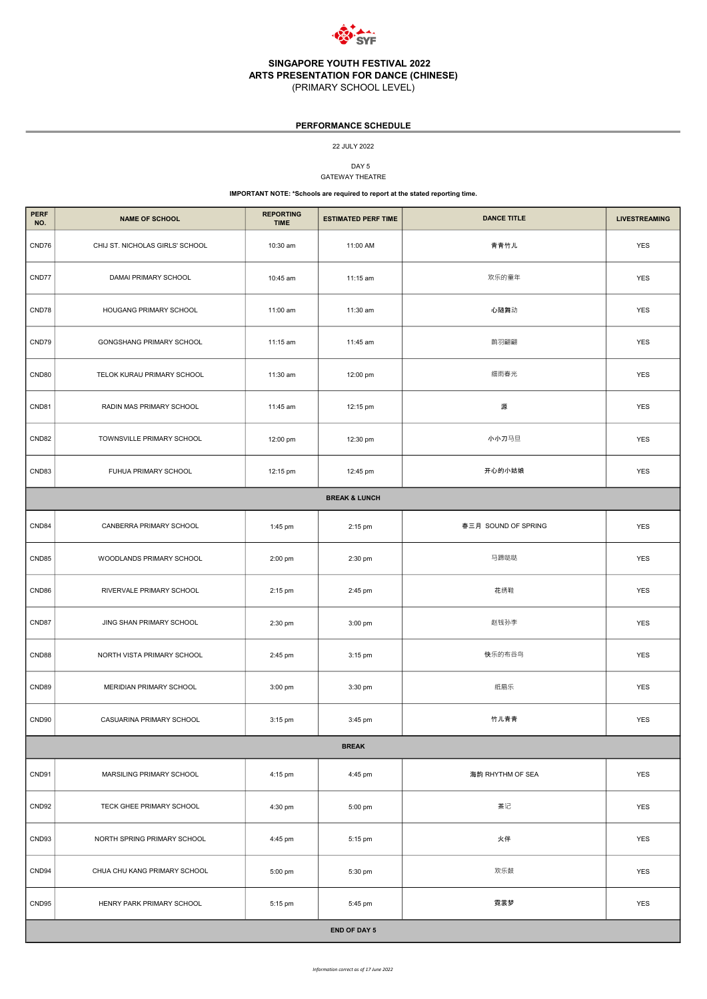

DAY 5 GATEWAY THEATRE

| <b>PERF</b><br>NO. | <b>NAME OF SCHOOL</b>           | <b>REPORTING</b><br><b>TIME</b> | <b>ESTIMATED PERF TIME</b> | <b>DANCE TITLE</b>  | <b>LIVESTREAMING</b> |
|--------------------|---------------------------------|---------------------------------|----------------------------|---------------------|----------------------|
| CND76              | CHIJ ST. NICHOLAS GIRLS' SCHOOL | 10:30 am                        | 11:00 AM                   | 青青竹儿                | <b>YES</b>           |
| CND77              | <b>DAMAI PRIMARY SCHOOL</b>     | 10:45 am                        | 11:15 am                   | 欢乐的童年               | <b>YES</b>           |
| CND78              | HOUGANG PRIMARY SCHOOL          | 11:00 am                        | 11:30 am                   | 心随舞动                | <b>YES</b>           |
| CND79              | <b>GONGSHANG PRIMARY SCHOOL</b> | 11:15 am                        | 11:45 am                   | 鹊羽翩翩                | <b>YES</b>           |
| CND80              | TELOK KURAU PRIMARY SCHOOL      | 11:30 am                        | 12:00 pm                   | 细雨春光                | <b>YES</b>           |
| CND81              | RADIN MAS PRIMARY SCHOOL        | 11:45 am                        | 12:15 pm                   | 源                   | <b>YES</b>           |
| CND82              | TOWNSVILLE PRIMARY SCHOOL       | 12:00 pm                        | 12:30 pm                   | 小小刀马旦               | <b>YES</b>           |
| CND83              | FUHUA PRIMARY SCHOOL            | 12:15 pm                        | 12:45 pm                   | 开心的小姑娘              | <b>YES</b>           |
|                    |                                 |                                 | <b>BREAK &amp; LUNCH</b>   |                     |                      |
| CND84              | CANBERRA PRIMARY SCHOOL         | 1:45 pm                         | 2:15 pm                    | 春三月 SOUND OF SPRING | <b>YES</b>           |
| CND85              | WOODLANDS PRIMARY SCHOOL        | 2:00 pm                         | 2:30 pm                    | 马蹄哒哒                | <b>YES</b>           |
| CND86              | RIVERVALE PRIMARY SCHOOL        | 2:15 pm                         | 2:45 pm                    | 花绣鞋                 | <b>YES</b>           |
| CND87              | JING SHAN PRIMARY SCHOOL        | 2:30 pm                         | 3:00 pm                    | 赵钱孙李                | <b>YES</b>           |
| CND88              | NORTH VISTA PRIMARY SCHOOL      | 2:45 pm                         | 3:15 pm                    | 快乐的布谷鸟              | YES                  |
| CND89              | MERIDIAN PRIMARY SCHOOL         | 3:00 pm                         | 3:30 pm                    | 纸扇乐                 | <b>YES</b>           |
| CND90              | CASUARINA PRIMARY SCHOOL        | 3:15 pm                         | 3:45 pm                    | 竹儿青青                | YES                  |

### PERFORMANCE SCHEDULE

| CND91               | MARSILING PRIMARY SCHOOL     | 4:15 pm | 4:45 pm | 海韵 RHYTHM OF SEA | <b>YES</b> |
|---------------------|------------------------------|---------|---------|------------------|------------|
| CND92               | TECK GHEE PRIMARY SCHOOL     | 4:30 pm | 5:00 pm | 茶记               | <b>YES</b> |
| CND93               | NORTH SPRING PRIMARY SCHOOL  | 4:45 pm | 5:15 pm | 火伴               | <b>YES</b> |
| CND94               | CHUA CHU KANG PRIMARY SCHOOL | 5:00 pm | 5:30 pm | 欢乐鼓              | <b>YES</b> |
| CND95               | HENRY PARK PRIMARY SCHOOL    | 5:15 pm | 5:45 pm | 霓裳梦              | <b>YES</b> |
| <b>END OF DAY 5</b> |                              |         |         |                  |            |

22 JULY 2022

### IMPORTANT NOTE: \*Schools are required to report at the stated reporting time.